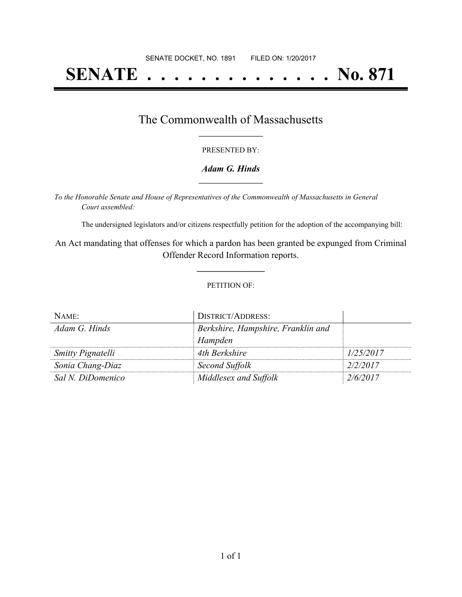# **SENATE . . . . . . . . . . . . . . No. 871**

## The Commonwealth of Massachusetts **\_\_\_\_\_\_\_\_\_\_\_\_\_\_\_\_\_**

#### PRESENTED BY:

#### *Adam G. Hinds* **\_\_\_\_\_\_\_\_\_\_\_\_\_\_\_\_\_**

*To the Honorable Senate and House of Representatives of the Commonwealth of Massachusetts in General Court assembled:*

The undersigned legislators and/or citizens respectfully petition for the adoption of the accompanying bill:

An Act mandating that offenses for which a pardon has been granted be expunged from Criminal Offender Record Information reports.

**\_\_\_\_\_\_\_\_\_\_\_\_\_\_\_**

#### PETITION OF:

| NAME:                    | <b>DISTRICT/ADDRESS:</b>           |           |
|--------------------------|------------------------------------|-----------|
| Adam G. Hinds            | Berkshire, Hampshire, Franklin and |           |
|                          | Hampden                            |           |
| <b>Smitty Pignatelli</b> | 4th Berkshire                      | 1/25/2017 |
| Sonia Chang-Diaz         | Second Suffolk                     | 2/2/2017  |
| Sal N. DiDomenico        | Middlesex and Suffolk              | 2/6/2017  |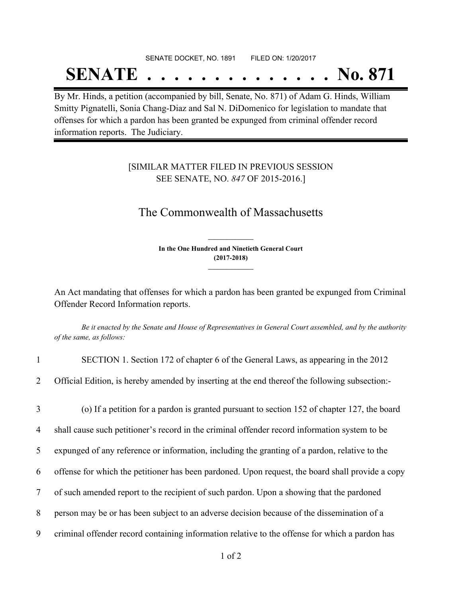# SENATE DOCKET, NO. 1891 FILED ON: 1/20/2017 **SENATE . . . . . . . . . . . . . . No. 871**

By Mr. Hinds, a petition (accompanied by bill, Senate, No. 871) of Adam G. Hinds, William Smitty Pignatelli, Sonia Chang-Diaz and Sal N. DiDomenico for legislation to mandate that offenses for which a pardon has been granted be expunged from criminal offender record information reports. The Judiciary.

### [SIMILAR MATTER FILED IN PREVIOUS SESSION SEE SENATE, NO. *847* OF 2015-2016.]

# The Commonwealth of Massachusetts

**In the One Hundred and Ninetieth General Court (2017-2018) \_\_\_\_\_\_\_\_\_\_\_\_\_\_\_**

**\_\_\_\_\_\_\_\_\_\_\_\_\_\_\_**

An Act mandating that offenses for which a pardon has been granted be expunged from Criminal Offender Record Information reports.

Be it enacted by the Senate and House of Representatives in General Court assembled, and by the authority *of the same, as follows:*

| $\mathbf{1}$    | SECTION 1. Section 172 of chapter 6 of the General Laws, as appearing in the 2012                |
|-----------------|--------------------------------------------------------------------------------------------------|
| $\overline{2}$  | Official Edition, is hereby amended by inserting at the end thereof the following subsection:-   |
| 3               | (o) If a petition for a pardon is granted pursuant to section 152 of chapter 127, the board      |
| 4               | shall cause such petitioner's record in the criminal offender record information system to be    |
| 5               | expunged of any reference or information, including the granting of a pardon, relative to the    |
| 6               | offense for which the petitioner has been pardoned. Upon request, the board shall provide a copy |
| $7\phantom{.0}$ | of such amended report to the recipient of such pardon. Upon a showing that the pardoned         |
| 8               | person may be or has been subject to an adverse decision because of the dissemination of a       |
| 9               | criminal offender record containing information relative to the offense for which a pardon has   |